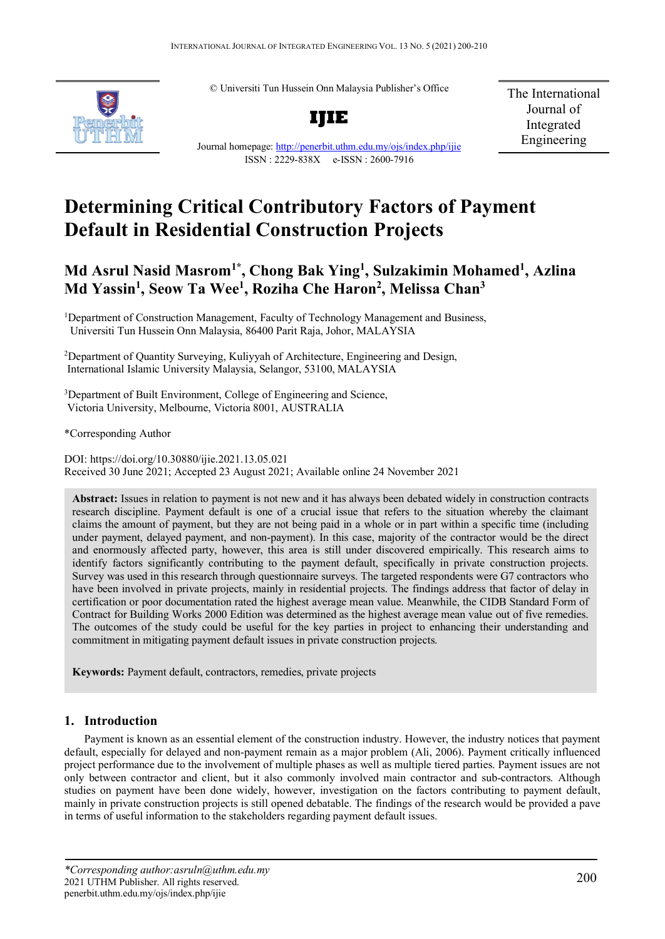© Universiti Tun Hussein Onn Malaysia Publisher's Office



**IJIE**

The International Journal of Integrated Engineering

Journal homepage:<http://penerbit.uthm.edu.my/ojs/index.php/ijie> ISSN : 2229-838X e-ISSN : 2600-7916

# **Determining Critical Contributory Factors of Payment Default in Residential Construction Projects**

# **Md Asrul Nasid Masrom1\* , Chong Bak Ying1 , Sulzakimin Mohamed1 , Azlina Md Yassin1 , Seow Ta Wee1 , Roziha Che Haron2 , Melissa Chan3**

<sup>1</sup>Department of Construction Management, Faculty of Technology Management and Business, Universiti Tun Hussein Onn Malaysia, 86400 Parit Raja, Johor, MALAYSIA

<sup>2</sup>Department of Quantity Surveying, Kuliyyah of Architecture, Engineering and Design, International Islamic University Malaysia, Selangor, 53100, MALAYSIA

<sup>3</sup>Department of Built Environment, College of Engineering and Science, Victoria University, Melbourne, Victoria 8001, AUSTRALIA

\*Corresponding Author

DOI: https://doi.org/10.30880/ijie.2021.13.05.021 Received 30 June 2021; Accepted 23 August 2021; Available online 24 November 2021

**Abstract:** Issues in relation to payment is not new and it has always been debated widely in construction contracts research discipline. Payment default is one of a crucial issue that refers to the situation whereby the claimant claims the amount of payment, but they are not being paid in a whole or in part within a specific time (including under payment, delayed payment, and non-payment). In this case, majority of the contractor would be the direct and enormously affected party, however, this area is still under discovered empirically. This research aims to identify factors significantly contributing to the payment default, specifically in private construction projects. Survey was used in this research through questionnaire surveys. The targeted respondents were G7 contractors who have been involved in private projects, mainly in residential projects. The findings address that factor of delay in certification or poor documentation rated the highest average mean value. Meanwhile, the CIDB Standard Form of Contract for Building Works 2000 Edition was determined as the highest average mean value out of five remedies. The outcomes of the study could be useful for the key parties in project to enhancing their understanding and commitment in mitigating payment default issues in private construction projects.

**Keywords:** Payment default, contractors, remedies, private projects

# **1. Introduction**

Payment is known as an essential element of the construction industry. However, the industry notices that payment default, especially for delayed and non-payment remain as a major problem (Ali, 2006). Payment critically influenced project performance due to the involvement of multiple phases as well as multiple tiered parties. Payment issues are not only between contractor and client, but it also commonly involved main contractor and sub-contractors. Although studies on payment have been done widely, however, investigation on the factors contributing to payment default, mainly in private construction projects is still opened debatable. The findings of the research would be provided a pave in terms of useful information to the stakeholders regarding payment default issues.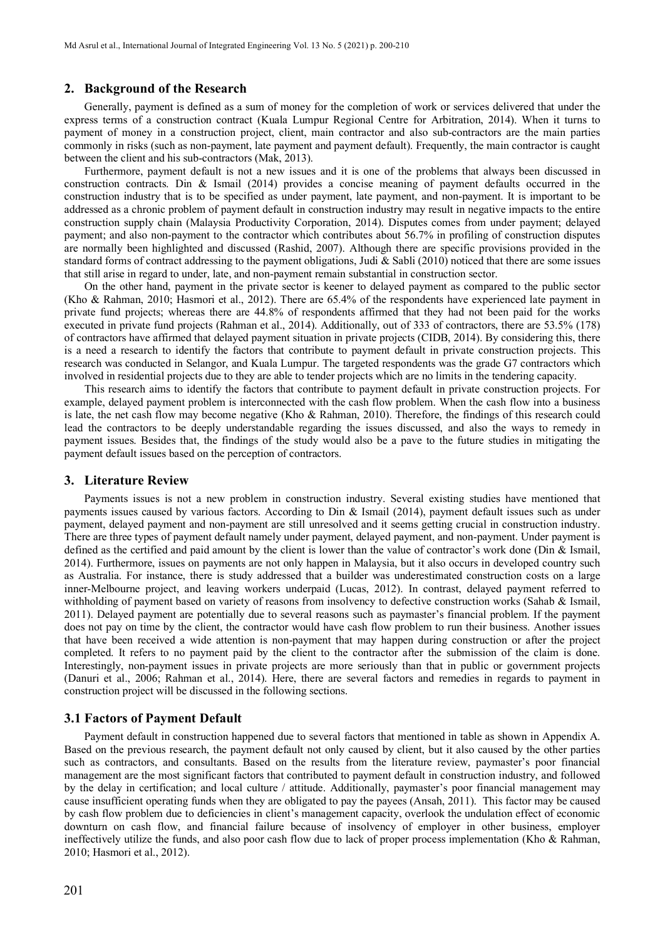### **2. Background of the Research**

Generally, payment is defined as a sum of money for the completion of work or services delivered that under the express terms of a construction contract (Kuala Lumpur Regional Centre for Arbitration, 2014). When it turns to payment of money in a construction project, client, main contractor and also sub-contractors are the main parties commonly in risks (such as non-payment, late payment and payment default). Frequently, the main contractor is caught between the client and his sub-contractors (Mak, 2013).

Furthermore, payment default is not a new issues and it is one of the problems that always been discussed in construction contracts. Din & Ismail (2014) provides a concise meaning of payment defaults occurred in the construction industry that is to be specified as under payment, late payment, and non-payment. It is important to be addressed as a chronic problem of payment default in construction industry may result in negative impacts to the entire construction supply chain (Malaysia Productivity Corporation, 2014). Disputes comes from under payment; delayed payment; and also non-payment to the contractor which contributes about 56.7% in profiling of construction disputes are normally been highlighted and discussed (Rashid, 2007). Although there are specific provisions provided in the standard forms of contract addressing to the payment obligations, Judi & Sabli (2010) noticed that there are some issues that still arise in regard to under, late, and non-payment remain substantial in construction sector.

On the other hand, payment in the private sector is keener to delayed payment as compared to the public sector (Kho & Rahman, 2010; Hasmori et al., 2012). There are 65.4% of the respondents have experienced late payment in private fund projects; whereas there are 44.8% of respondents affirmed that they had not been paid for the works executed in private fund projects (Rahman et al., 2014). Additionally, out of 333 of contractors, there are 53.5% (178) of contractors have affirmed that delayed payment situation in private projects (CIDB, 2014). By considering this, there is a need a research to identify the factors that contribute to payment default in private construction projects. This research was conducted in Selangor, and Kuala Lumpur. The targeted respondents was the grade G7 contractors which involved in residential projects due to they are able to tender projects which are no limits in the tendering capacity.

This research aims to identify the factors that contribute to payment default in private construction projects. For example, delayed payment problem is interconnected with the cash flow problem. When the cash flow into a business is late, the net cash flow may become negative (Kho & Rahman, 2010). Therefore, the findings of this research could lead the contractors to be deeply understandable regarding the issues discussed, and also the ways to remedy in payment issues. Besides that, the findings of the study would also be a pave to the future studies in mitigating the payment default issues based on the perception of contractors.

#### **3. Literature Review**

Payments issues is not a new problem in construction industry. Several existing studies have mentioned that payments issues caused by various factors. According to Din & Ismail (2014), payment default issues such as under payment, delayed payment and non-payment are still unresolved and it seems getting crucial in construction industry. There are three types of payment default namely under payment, delayed payment, and non-payment. Under payment is defined as the certified and paid amount by the client is lower than the value of contractor's work done (Din & Ismail, 2014). Furthermore, issues on payments are not only happen in Malaysia, but it also occurs in developed country such as Australia. For instance, there is study addressed that a builder was underestimated construction costs on a large inner-Melbourne project, and leaving workers underpaid (Lucas, 2012). In contrast, delayed payment referred to withholding of payment based on variety of reasons from insolvency to defective construction works (Sahab & Ismail, 2011). Delayed payment are potentially due to several reasons such as paymaster's financial problem. If the payment does not pay on time by the client, the contractor would have cash flow problem to run their business. Another issues that have been received a wide attention is non-payment that may happen during construction or after the project completed. It refers to no payment paid by the client to the contractor after the submission of the claim is done. Interestingly, non-payment issues in private projects are more seriously than that in public or government projects (Danuri et al., 2006; Rahman et al., 2014). Here, there are several factors and remedies in regards to payment in construction project will be discussed in the following sections.

#### **3.1 Factors of Payment Default**

Payment default in construction happened due to several factors that mentioned in table as shown in Appendix A. Based on the previous research, the payment default not only caused by client, but it also caused by the other parties such as contractors, and consultants. Based on the results from the literature review, paymaster's poor financial management are the most significant factors that contributed to payment default in construction industry, and followed by the delay in certification; and local culture / attitude. Additionally, paymaster's poor financial management may cause insufficient operating funds when they are obligated to pay the payees (Ansah, 2011). This factor may be caused by cash flow problem due to deficiencies in client's management capacity, overlook the undulation effect of economic downturn on cash flow, and financial failure because of insolvency of employer in other business, employer ineffectively utilize the funds, and also poor cash flow due to lack of proper process implementation (Kho & Rahman, 2010; Hasmori et al., 2012).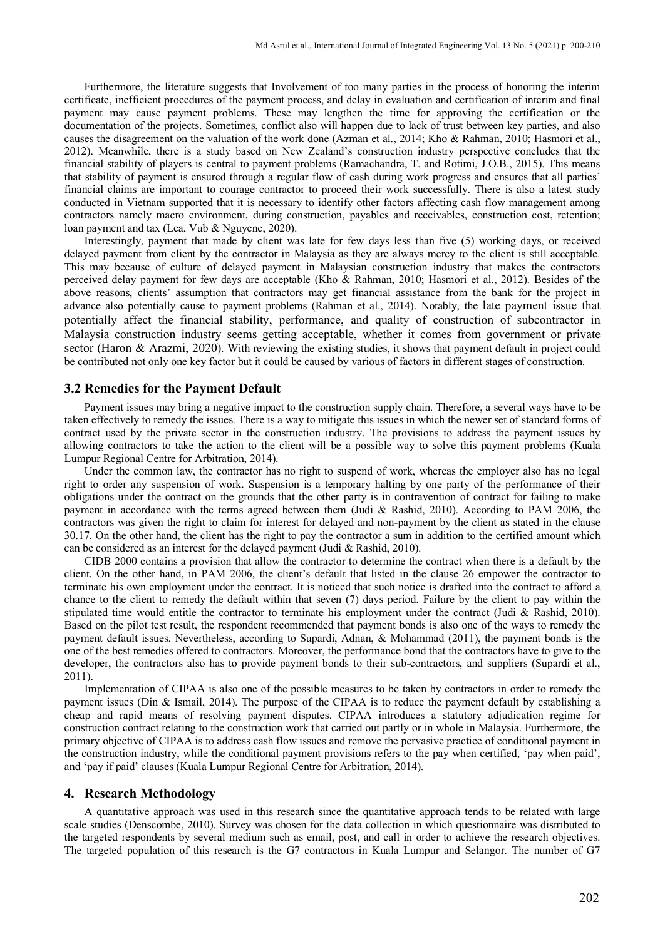Furthermore, the literature suggests that Involvement of too many parties in the process of honoring the interim certificate, inefficient procedures of the payment process, and delay in evaluation and certification of interim and final payment may cause payment problems. These may lengthen the time for approving the certification or the documentation of the projects. Sometimes, conflict also will happen due to lack of trust between key parties, and also causes the disagreement on the valuation of the work done (Azman et al., 2014; Kho & Rahman, 2010; Hasmori et al., 2012). Meanwhile, there is a study based on New Zealand's construction industry perspective concludes that the financial stability of players is central to payment problems (Ramachandra, T. and Rotimi, J.O.B., 2015). This means that stability of payment is ensured through a regular flow of cash during work progress and ensures that all parties' financial claims are important to courage contractor to proceed their work successfully. There is also a latest study conducted in Vietnam supported that it is necessary to identify other factors affecting cash flow management among contractors namely macro environment, during construction, payables and receivables, construction cost, retention; loan payment and tax (Lea, Vub & Nguyenc, 2020).

Interestingly, payment that made by client was late for few days less than five (5) working days, or received delayed payment from client by the contractor in Malaysia as they are always mercy to the client is still acceptable. This may because of culture of delayed payment in Malaysian construction industry that makes the contractors perceived delay payment for few days are acceptable (Kho & Rahman, 2010; Hasmori et al., 2012). Besides of the above reasons, clients' assumption that contractors may get financial assistance from the bank for the project in advance also potentially cause to payment problems (Rahman et al., 2014). Notably, the late payment issue that potentially affect the financial stability, performance, and quality of construction of subcontractor in Malaysia construction industry seems getting acceptable, whether it comes from government or private sector (Haron & Arazmi, 2020). With reviewing the existing studies, it shows that payment default in project could be contributed not only one key factor but it could be caused by various of factors in different stages of construction.

## **3.2 Remedies for the Payment Default**

Payment issues may bring a negative impact to the construction supply chain. Therefore, a several ways have to be taken effectively to remedy the issues. There is a way to mitigate this issues in which the newer set of standard forms of contract used by the private sector in the construction industry. The provisions to address the payment issues by allowing contractors to take the action to the client will be a possible way to solve this payment problems (Kuala Lumpur Regional Centre for Arbitration, 2014).

Under the common law, the contractor has no right to suspend of work, whereas the employer also has no legal right to order any suspension of work. Suspension is a temporary halting by one party of the performance of their obligations under the contract on the grounds that the other party is in contravention of contract for failing to make payment in accordance with the terms agreed between them (Judi & Rashid, 2010). According to PAM 2006, the contractors was given the right to claim for interest for delayed and non-payment by the client as stated in the clause 30.17. On the other hand, the client has the right to pay the contractor a sum in addition to the certified amount which can be considered as an interest for the delayed payment (Judi & Rashid, 2010).

CIDB 2000 contains a provision that allow the contractor to determine the contract when there is a default by the client. On the other hand, in PAM 2006, the client's default that listed in the clause 26 empower the contractor to terminate his own employment under the contract. It is noticed that such notice is drafted into the contract to afford a chance to the client to remedy the default within that seven (7) days period. Failure by the client to pay within the stipulated time would entitle the contractor to terminate his employment under the contract (Judi & Rashid, 2010). Based on the pilot test result, the respondent recommended that payment bonds is also one of the ways to remedy the payment default issues. Nevertheless, according to Supardi, Adnan, & Mohammad (2011), the payment bonds is the one of the best remedies offered to contractors. Moreover, the performance bond that the contractors have to give to the developer, the contractors also has to provide payment bonds to their sub-contractors, and suppliers (Supardi et al., 2011).

Implementation of CIPAA is also one of the possible measures to be taken by contractors in order to remedy the payment issues (Din & Ismail, 2014). The purpose of the CIPAA is to reduce the payment default by establishing a cheap and rapid means of resolving payment disputes. CIPAA introduces a statutory adjudication regime for construction contract relating to the construction work that carried out partly or in whole in Malaysia. Furthermore, the primary objective of CIPAA is to address cash flow issues and remove the pervasive practice of conditional payment in the construction industry, while the conditional payment provisions refers to the pay when certified, 'pay when paid', and 'pay if paid' clauses (Kuala Lumpur Regional Centre for Arbitration, 2014).

#### **4. Research Methodology**

A quantitative approach was used in this research since the quantitative approach tends to be related with large scale studies (Denscombe, 2010). Survey was chosen for the data collection in which questionnaire was distributed to the targeted respondents by several medium such as email, post, and call in order to achieve the research objectives. The targeted population of this research is the G7 contractors in Kuala Lumpur and Selangor. The number of G7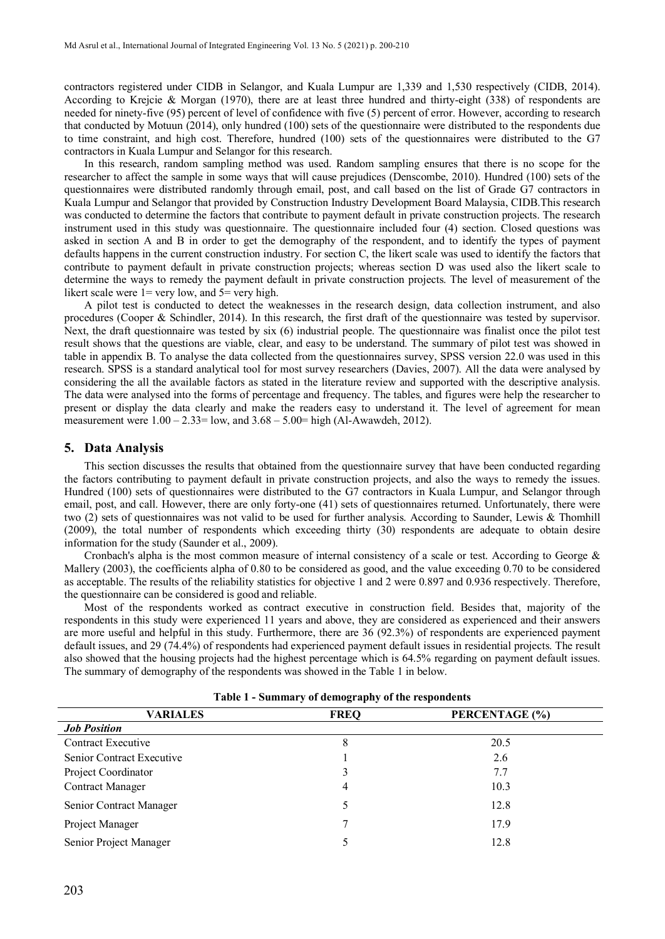contractors registered under CIDB in Selangor, and Kuala Lumpur are 1,339 and 1,530 respectively (CIDB, 2014). According to Krejcie & Morgan (1970), there are at least three hundred and thirty-eight (338) of respondents are needed for ninety-five (95) percent of level of confidence with five (5) percent of error. However, according to research that conducted by Motuun (2014), only hundred (100) sets of the questionnaire were distributed to the respondents due to time constraint, and high cost. Therefore, hundred (100) sets of the questionnaires were distributed to the G7 contractors in Kuala Lumpur and Selangor for this research.

In this research, random sampling method was used. Random sampling ensures that there is no scope for the researcher to affect the sample in some ways that will cause prejudices (Denscombe, 2010). Hundred (100) sets of the questionnaires were distributed randomly through email, post, and call based on the list of Grade G7 contractors in Kuala Lumpur and Selangor that provided by Construction Industry Development Board Malaysia, CIDB.This research was conducted to determine the factors that contribute to payment default in private construction projects. The research instrument used in this study was questionnaire. The questionnaire included four (4) section. Closed questions was asked in section A and B in order to get the demography of the respondent, and to identify the types of payment defaults happens in the current construction industry. For section C, the likert scale was used to identify the factors that contribute to payment default in private construction projects; whereas section D was used also the likert scale to determine the ways to remedy the payment default in private construction projects. The level of measurement of the likert scale were  $1=$  very low, and  $5=$  very high.

A pilot test is conducted to detect the weaknesses in the research design, data collection instrument, and also procedures (Cooper & Schindler, 2014). In this research, the first draft of the questionnaire was tested by supervisor. Next, the draft questionnaire was tested by six (6) industrial people. The questionnaire was finalist once the pilot test result shows that the questions are viable, clear, and easy to be understand. The summary of pilot test was showed in table in appendix B. To analyse the data collected from the questionnaires survey, SPSS version 22.0 was used in this research. SPSS is a standard analytical tool for most survey researchers (Davies, 2007). All the data were analysed by considering the all the available factors as stated in the literature review and supported with the descriptive analysis. The data were analysed into the forms of percentage and frequency. The tables, and figures were help the researcher to present or display the data clearly and make the readers easy to understand it. The level of agreement for mean measurement were  $1.00 - 2.33 =$  low, and  $3.68 - 5.00 =$  high (Al-Awawdeh, 2012).

#### **5. Data Analysis**

This section discusses the results that obtained from the questionnaire survey that have been conducted regarding the factors contributing to payment default in private construction projects, and also the ways to remedy the issues. Hundred (100) sets of questionnaires were distributed to the G7 contractors in Kuala Lumpur, and Selangor through email, post, and call. However, there are only forty-one (41) sets of questionnaires returned. Unfortunately, there were two (2) sets of questionnaires was not valid to be used for further analysis. According to Saunder, Lewis & Thomhill (2009), the total number of respondents which exceeding thirty (30) respondents are adequate to obtain desire information for the study (Saunder et al., 2009).

Cronbach's alpha is the most common measure of internal consistency of a scale or test. According to George & Mallery (2003), the coefficients alpha of 0.80 to be considered as good, and the value exceeding 0.70 to be considered as acceptable. The results of the reliability statistics for objective 1 and 2 were 0.897 and 0.936 respectively. Therefore, the questionnaire can be considered is good and reliable.

Most of the respondents worked as contract executive in construction field. Besides that, majority of the respondents in this study were experienced 11 years and above, they are considered as experienced and their answers are more useful and helpful in this study. Furthermore, there are 36 (92.3%) of respondents are experienced payment default issues, and 29 (74.4%) of respondents had experienced payment default issues in residential projects. The result also showed that the housing projects had the highest percentage which is 64.5% regarding on payment default issues. The summary of demography of the respondents was showed in the Table 1 in below.

| <b>VARIALES</b>           | <b>FREQ</b> | PERCENTAGE (%) |  |
|---------------------------|-------------|----------------|--|
| <b>Job Position</b>       |             |                |  |
| <b>Contract Executive</b> | 8           | 20.5           |  |
| Senior Contract Executive |             | 2.6            |  |
| Project Coordinator       |             | 7.7            |  |
| <b>Contract Manager</b>   | 4           | 10.3           |  |
| Senior Contract Manager   |             | 12.8           |  |
| Project Manager           |             | 17.9           |  |
| Senior Project Manager    |             | 12.8           |  |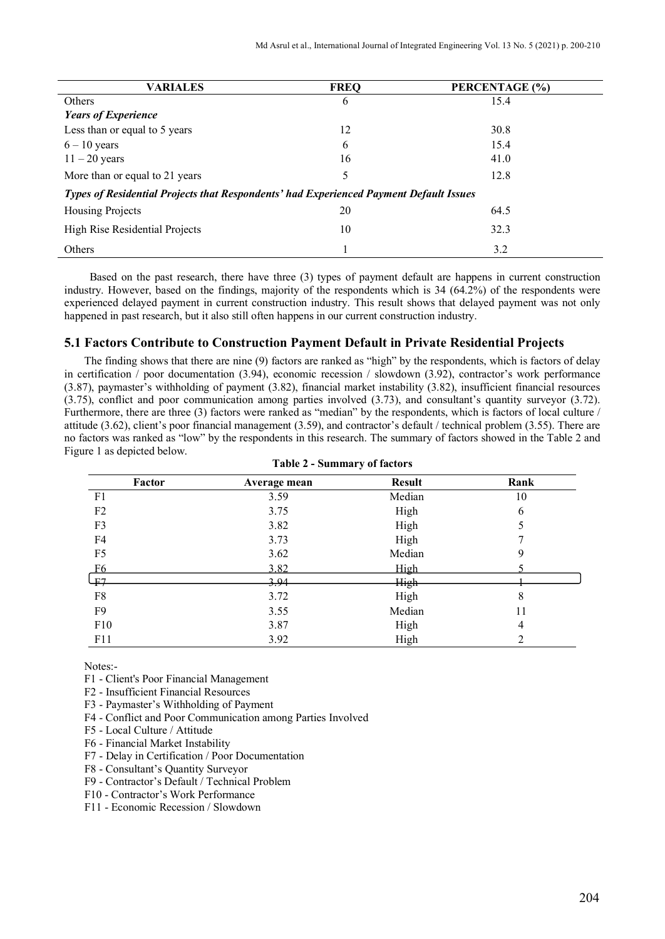| <b>VARIALES</b>                                                                        | <b>FREQ</b> | PERCENTAGE (%) |  |  |  |
|----------------------------------------------------------------------------------------|-------------|----------------|--|--|--|
| Others                                                                                 | 6           | 15.4           |  |  |  |
| <b>Years of Experience</b>                                                             |             |                |  |  |  |
| Less than or equal to 5 years                                                          | 12          | 30.8           |  |  |  |
| $6 - 10$ years                                                                         | 6           | 15.4           |  |  |  |
| $11 - 20$ years                                                                        | 16          | 41.0           |  |  |  |
| More than or equal to 21 years                                                         | 5           | 12.8           |  |  |  |
| Types of Residential Projects that Respondents' had Experienced Payment Default Issues |             |                |  |  |  |
| Housing Projects                                                                       | 20          | 64.5           |  |  |  |
| High Rise Residential Projects                                                         | 10          | 32.3           |  |  |  |
| Others                                                                                 |             | 3.2            |  |  |  |

 Based on the past research, there have three (3) types of payment default are happens in current construction industry. However, based on the findings, majority of the respondents which is 34 (64.2%) of the respondents were experienced delayed payment in current construction industry. This result shows that delayed payment was not only happened in past research, but it also still often happens in our current construction industry.

## **5.1 Factors Contribute to Construction Payment Default in Private Residential Projects**

The finding shows that there are nine (9) factors are ranked as "high" by the respondents, which is factors of delay in certification / poor documentation (3.94), economic recession / slowdown (3.92), contractor's work performance (3.87), paymaster's withholding of payment (3.82), financial market instability (3.82), insufficient financial resources (3.75), conflict and poor communication among parties involved (3.73), and consultant's quantity surveyor (3.72). Furthermore, there are three (3) factors were ranked as "median" by the respondents, which is factors of local culture / attitude (3.62), client's poor financial management (3.59), and contractor's default / technical problem (3.55). There are no factors was ranked as "low" by the respondents in this research. The summary of factors showed in the Table 2 and Figure 1 as depicted below.

| Factor         | Average mean | <b>Result</b> | Rank |
|----------------|--------------|---------------|------|
| F1             | 3.59         | Median        | 10   |
| F2             | 3.75         | High          | 6    |
| F3             | 3.82         | High          | 5    |
| F4             | 3.73         | High          |      |
| F <sub>5</sub> | 3.62         | Median        | 9    |
| F <sub>6</sub> | 3.82         | High          |      |
| جبا            | 3.94         | <b>High</b>   |      |
| F8             | 3.72         | High          | 8    |
| F <sub>9</sub> | 3.55         | Median        | 11   |
| F10            | 3.87         | High          | 4    |
| F11            | 3.92         | High          | າ    |

Notes:-

- F1 Client's Poor Financial Management
- F2 Insufficient Financial Resources
- F3 Paymaster's Withholding of Payment
- F4 Conflict and Poor Communication among Parties Involved
- F5 Local Culture / Attitude
- F6 Financial Market Instability
- F7 Delay in Certification / Poor Documentation
- F8 Consultant's Quantity Surveyor
- F9 Contractor's Default / Technical Problem
- F10 Contractor's Work Performance
- F11 Economic Recession / Slowdown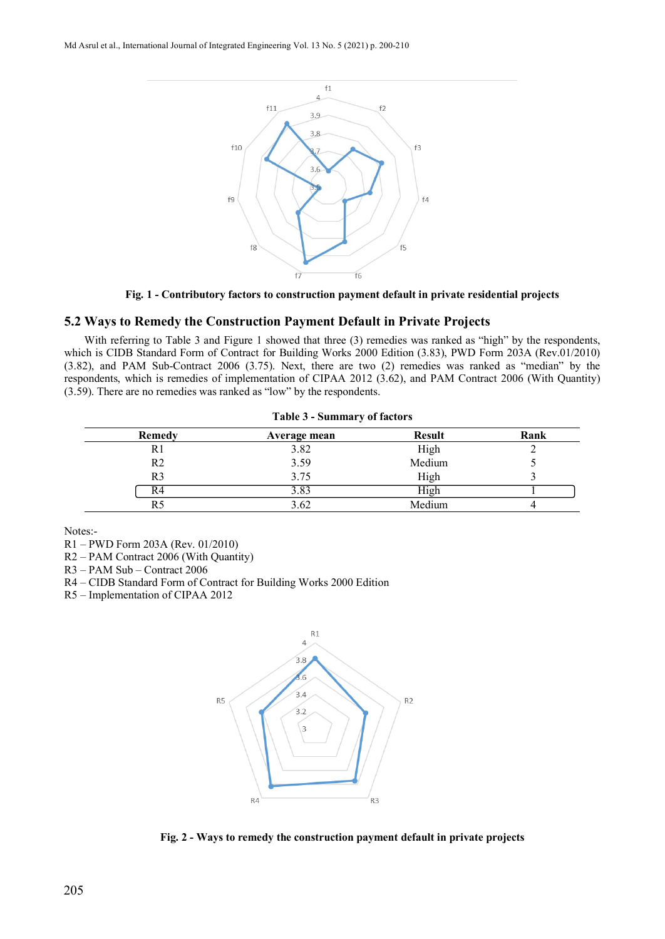Md Asrul et al., International Journal of Integrated Engineering Vol. 13 No. 5 (2021) p. 200-210



**Fig. 1 - Contributory factors to construction payment default in private residential projects**

# **5.2 Ways to Remedy the Construction Payment Default in Private Projects**

With referring to Table 3 and Figure 1 showed that three (3) remedies was ranked as "high" by the respondents, which is CIDB Standard Form of Contract for Building Works 2000 Edition (3.83), PWD Form 203A (Rev.01/2010) (3.82), and PAM Sub-Contract 2006 (3.75). Next, there are two (2) remedies was ranked as "median" by the respondents, which is remedies of implementation of CIPAA 2012 (3.62), and PAM Contract 2006 (With Quantity) (3.59). There are no remedies was ranked as "low" by the respondents.

| Table 3 - Summary of factors |              |               |      |
|------------------------------|--------------|---------------|------|
| Remedy                       | Average mean | <b>Result</b> | Rank |
| R1                           | 3.82         | High          |      |
| R <sub>2</sub>               | 3.59         | Medium        |      |
| R <sub>3</sub>               | 3.75         | High          |      |
| R4                           | 3.83         | High          |      |
| R5                           | 3.62         | Medium        |      |

Notes:-

R1 – PWD Form 203A (Rev. 01/2010)

R2 – PAM Contract 2006 (With Quantity)

R3 – PAM Sub – Contract 2006

R4 – CIDB Standard Form of Contract for Building Works 2000 Edition

R5 – Implementation of CIPAA 2012



**Fig. 2 - Ways to remedy the construction payment default in private projects**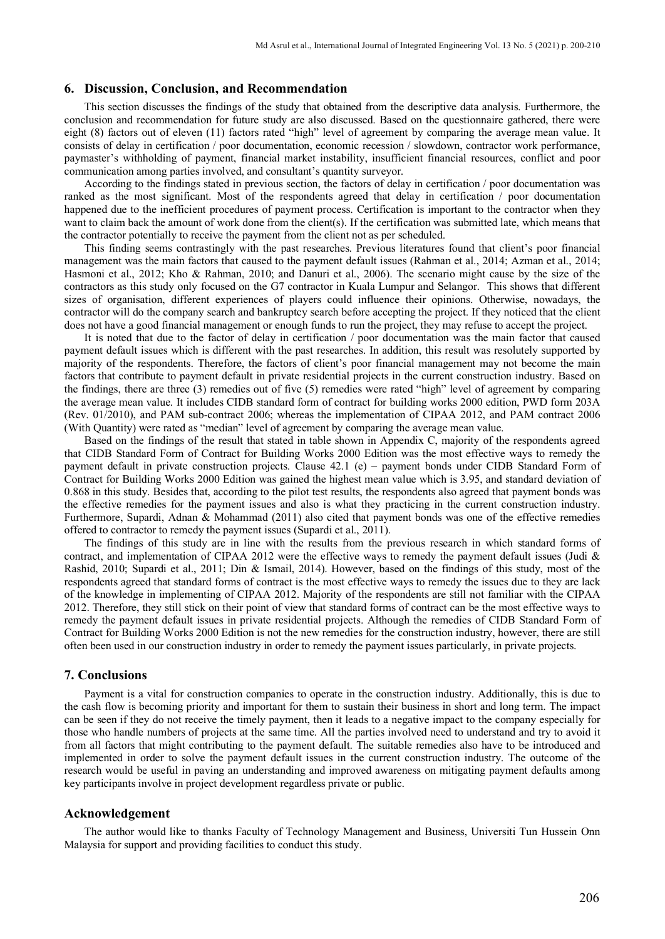#### **6. Discussion, Conclusion, and Recommendation**

This section discusses the findings of the study that obtained from the descriptive data analysis. Furthermore, the conclusion and recommendation for future study are also discussed. Based on the questionnaire gathered, there were eight (8) factors out of eleven (11) factors rated "high" level of agreement by comparing the average mean value. It consists of delay in certification / poor documentation, economic recession / slowdown, contractor work performance, paymaster's withholding of payment, financial market instability, insufficient financial resources, conflict and poor communication among parties involved, and consultant's quantity surveyor.

According to the findings stated in previous section, the factors of delay in certification / poor documentation was ranked as the most significant. Most of the respondents agreed that delay in certification / poor documentation happened due to the inefficient procedures of payment process. Certification is important to the contractor when they want to claim back the amount of work done from the client(s). If the certification was submitted late, which means that the contractor potentially to receive the payment from the client not as per scheduled.

This finding seems contrastingly with the past researches. Previous literatures found that client's poor financial management was the main factors that caused to the payment default issues (Rahman et al., 2014; Azman et al., 2014; Hasmoni et al., 2012; Kho & Rahman, 2010; and Danuri et al., 2006). The scenario might cause by the size of the contractors as this study only focused on the G7 contractor in Kuala Lumpur and Selangor. This shows that different sizes of organisation, different experiences of players could influence their opinions. Otherwise, nowadays, the contractor will do the company search and bankruptcy search before accepting the project. If they noticed that the client does not have a good financial management or enough funds to run the project, they may refuse to accept the project.

It is noted that due to the factor of delay in certification / poor documentation was the main factor that caused payment default issues which is different with the past researches. In addition, this result was resolutely supported by majority of the respondents. Therefore, the factors of client's poor financial management may not become the main factors that contribute to payment default in private residential projects in the current construction industry. Based on the findings, there are three (3) remedies out of five (5) remedies were rated "high" level of agreement by comparing the average mean value. It includes CIDB standard form of contract for building works 2000 edition, PWD form 203A (Rev. 01/2010), and PAM sub-contract 2006; whereas the implementation of CIPAA 2012, and PAM contract 2006 (With Quantity) were rated as "median" level of agreement by comparing the average mean value.

Based on the findings of the result that stated in table shown in Appendix C, majority of the respondents agreed that CIDB Standard Form of Contract for Building Works 2000 Edition was the most effective ways to remedy the payment default in private construction projects. Clause 42.1 (e) – payment bonds under CIDB Standard Form of Contract for Building Works 2000 Edition was gained the highest mean value which is 3.95, and standard deviation of 0.868 in this study. Besides that, according to the pilot test results, the respondents also agreed that payment bonds was the effective remedies for the payment issues and also is what they practicing in the current construction industry. Furthermore, Supardi, Adnan & Mohammad (2011) also cited that payment bonds was one of the effective remedies offered to contractor to remedy the payment issues (Supardi et al., 2011).

The findings of this study are in line with the results from the previous research in which standard forms of contract, and implementation of CIPAA 2012 were the effective ways to remedy the payment default issues (Judi & Rashid, 2010; Supardi et al., 2011; Din & Ismail, 2014). However, based on the findings of this study, most of the respondents agreed that standard forms of contract is the most effective ways to remedy the issues due to they are lack of the knowledge in implementing of CIPAA 2012. Majority of the respondents are still not familiar with the CIPAA 2012. Therefore, they still stick on their point of view that standard forms of contract can be the most effective ways to remedy the payment default issues in private residential projects. Although the remedies of CIDB Standard Form of Contract for Building Works 2000 Edition is not the new remedies for the construction industry, however, there are still often been used in our construction industry in order to remedy the payment issues particularly, in private projects.

### **7. Conclusions**

Payment is a vital for construction companies to operate in the construction industry. Additionally, this is due to the cash flow is becoming priority and important for them to sustain their business in short and long term. The impact can be seen if they do not receive the timely payment, then it leads to a negative impact to the company especially for those who handle numbers of projects at the same time. All the parties involved need to understand and try to avoid it from all factors that might contributing to the payment default. The suitable remedies also have to be introduced and implemented in order to solve the payment default issues in the current construction industry. The outcome of the research would be useful in paving an understanding and improved awareness on mitigating payment defaults among key participants involve in project development regardless private or public.

#### **Acknowledgement**

The author would like to thanks Faculty of Technology Management and Business, Universiti Tun Hussein Onn Malaysia for support and providing facilities to conduct this study.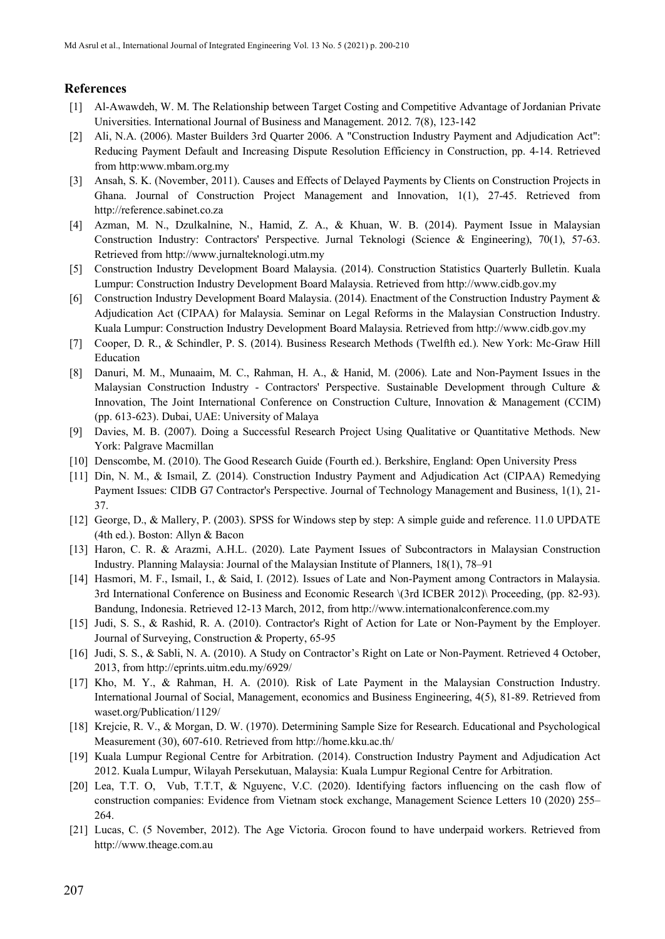# **References**

- [1] Al-Awawdeh, W. M. The Relationship between Target Costing and Competitive Advantage of Jordanian Private Universities. International Journal of Business and Management. 2012. 7(8), 123-142
- [2] Ali, N.A. (2006). Master Builders 3rd Quarter 2006. A "Construction Industry Payment and Adjudication Act": Reducing Payment Default and Increasing Dispute Resolution Efficiency in Construction, pp. 4-14. Retrieved from http:www.mbam.org.my
- [3] Ansah, S. K. (November, 2011). Causes and Effects of Delayed Payments by Clients on Construction Projects in Ghana. Journal of Construction Project Management and Innovation, 1(1), 27-45. Retrieved from [http://reference.sabinet.co.za](http://reference.sabinet.co.za/)
- [4] Azman, M. N., Dzulkalnine, N., Hamid, Z. A., & Khuan, W. B. (2014). Payment Issue in Malaysian Construction Industry: Contractors' Perspective. Jurnal Teknologi (Science & Engineering), 70(1), 57-63. Retrieved from [http://www.jurnalteknologi.utm.my](http://www.jurnalteknologi.utm.my/)
- [5] Construction Industry Development Board Malaysia. (2014). Construction Statistics Quarterly Bulletin. Kuala Lumpur: Construction Industry Development Board Malaysia. Retrieved fro[m http://www.cidb.gov.my](http://www.cidb.gov.my/)
- [6] Construction Industry Development Board Malaysia. (2014). Enactment of the Construction Industry Payment & Adjudication Act (CIPAA) for Malaysia. Seminar on Legal Reforms in the Malaysian Construction Industry. Kuala Lumpur: Construction Industry Development Board Malaysia. Retrieved fro[m http://www.cidb.gov.my](http://www.cidb.gov.my/)
- [7] Cooper, D. R., & Schindler, P. S. (2014). Business Research Methods (Twelfth ed.). New York: Mc-Graw Hill Education
- [8] Danuri, M. M., Munaaim, M. C., Rahman, H. A., & Hanid, M. (2006). Late and Non-Payment Issues in the Malaysian Construction Industry - Contractors' Perspective. Sustainable Development through Culture & Innovation, The Joint International Conference on Construction Culture, Innovation & Management (CCIM) (pp. 613-623). Dubai, UAE: University of Malaya
- [9] Davies, M. B. (2007). Doing a Successful Research Project Using Qualitative or Quantitative Methods. New York: Palgrave Macmillan
- [10] Denscombe, M. (2010). The Good Research Guide (Fourth ed.). Berkshire, England: Open University Press
- [11] Din, N. M., & Ismail, Z. (2014). Construction Industry Payment and Adjudication Act (CIPAA) Remedying Payment Issues: CIDB G7 Contractor's Perspective. Journal of Technology Management and Business, 1(1), 21- 37.
- [12] George, D., & Mallery, P. (2003). SPSS for Windows step by step: A simple guide and reference. 11.0 UPDATE (4th ed.). Boston: Allyn & Bacon
- [13] Haron, C. R. & Arazmi, A.H.L. (2020). Late Payment Issues of Subcontractors in Malaysian Construction Industry. Planning Malaysia: Journal of the Malaysian Institute of Planners, 18(1), 78–91
- [14] Hasmori, M. F., Ismail, I., & Said, I. (2012). Issues of Late and Non-Payment among Contractors in Malaysia. 3rd International Conference on Business and Economic Research \(3rd ICBER 2012)\ Proceeding, (pp. 82-93). Bandung, Indonesia. Retrieved 12-13 March, 2012, from [http://www.internationalconference.com.my](http://www.internationalconference.com.my/)
- [15] Judi, S. S., & Rashid, R. A. (2010). Contractor's Right of Action for Late or Non-Payment by the Employer. Journal of Surveying, Construction & Property, 65-95
- [16] Judi, S. S., & Sabli, N. A. (2010). A Study on Contractor's Right on Late or Non-Payment. Retrieved 4 October, 2013, fro[m http://eprints.uitm.edu.my/6929/](http://eprints.uitm.edu.my/6929/)
- [17] Kho, M. Y., & Rahman, H. A. (2010). Risk of Late Payment in the Malaysian Construction Industry. International Journal of Social, Management, economics and Business Engineering, 4(5), 81-89. Retrieved from waset.org/Publication/1129/
- [18] Krejcie, R. V., & Morgan, D. W. (1970). Determining Sample Size for Research. Educational and Psychological Measurement (30), 607-610. Retrieved from<http://home.kku.ac.th/>
- [19] Kuala Lumpur Regional Centre for Arbitration. (2014). Construction Industry Payment and Adjudication Act 2012. Kuala Lumpur, Wilayah Persekutuan, Malaysia: Kuala Lumpur Regional Centre for Arbitration.
- [20] Lea, T.T. O, Vub, T.T.T, & Nguyenc, V.C. (2020). Identifying factors influencing on the cash flow of construction companies: Evidence from Vietnam stock exchange, Management Science Letters 10 (2020) 255– 264.
- [21] Lucas, C. (5 November, 2012). The Age Victoria. Grocon found to have underpaid workers. Retrieved from [http://www.theage.com.au](http://www.theage.com.au/)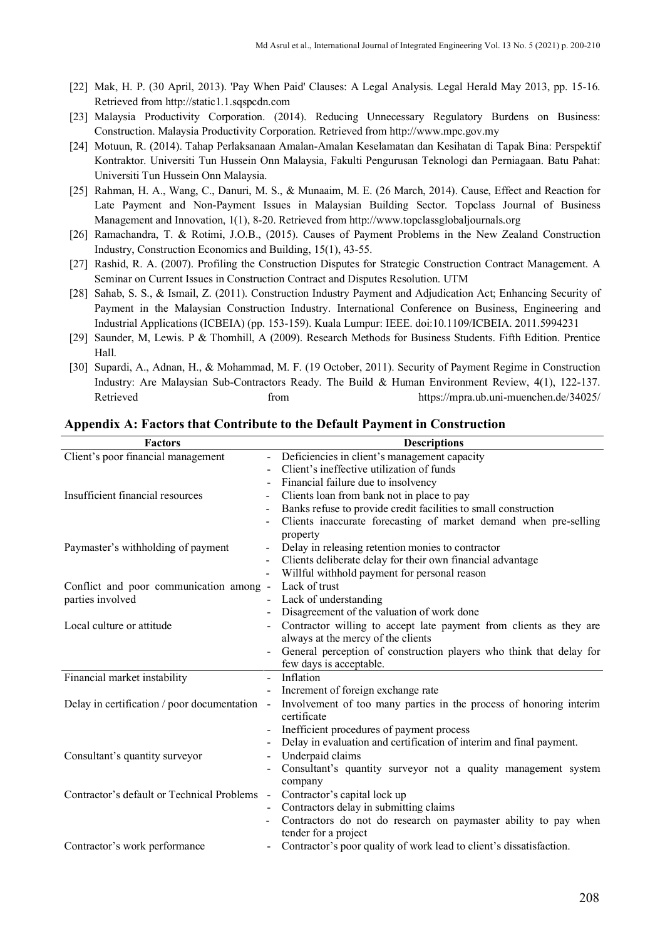- [22] Mak, H. P. (30 April, 2013). 'Pay When Paid' Clauses: A Legal Analysis. Legal Herald May 2013, pp. 15-16. Retrieved from [http://static1.1.sqspcdn.com](http://static1.1.sqspcdn.com/)
- [23] Malaysia Productivity Corporation. (2014). Reducing Unnecessary Regulatory Burdens on Business: Construction. Malaysia Productivity Corporation. Retrieved from [http://www.mpc.gov.my](http://www.mpc.gov.my/)
- [24] Motuun, R. (2014). Tahap Perlaksanaan Amalan-Amalan Keselamatan dan Kesihatan di Tapak Bina: Perspektif Kontraktor. Universiti Tun Hussein Onn Malaysia, Fakulti Pengurusan Teknologi dan Perniagaan. Batu Pahat: Universiti Tun Hussein Onn Malaysia.
- [25] Rahman, H. A., Wang, C., Danuri, M. S., & Munaaim, M. E. (26 March, 2014). Cause, Effect and Reaction for Late Payment and Non-Payment Issues in Malaysian Building Sector. Topclass Journal of Business Management and Innovation, 1(1), 8-20. Retrieved from [http://www.topclassglobaljournals.org](http://www.topclassglobaljournals.org/)
- [26] Ramachandra, T. & Rotimi, J.O.B., (2015). Causes of Payment Problems in the New Zealand Construction Industry, Construction Economics and Building, 15(1), 43-55.
- [27] Rashid, R. A. (2007). Profiling the Construction Disputes for Strategic Construction Contract Management. A Seminar on Current Issues in Construction Contract and Disputes Resolution. UTM
- [28] Sahab, S. S., & Ismail, Z. (2011). Construction Industry Payment and Adjudication Act; Enhancing Security of Payment in the Malaysian Construction Industry. International Conference on Business, Engineering and Industrial Applications (ICBEIA) (pp. 153-159). Kuala Lumpur: IEEE. doi:10.1109/ICBEIA. 2011.5994231
- [29] Saunder, M, Lewis. P & Thomhill, A (2009). Research Methods for Business Students. Fifth Edition. Prentice Hall.
- [30] Supardi, A., Adnan, H., & Mohammad, M. F. (19 October, 2011). Security of Payment Regime in Construction Industry: Are Malaysian Sub-Contractors Ready. The Build & Human Environment Review, 4(1), 122-137. Retrieved from https://mpra.ub.uni-muenchen.de/34025/

| <b>Factors</b>                              | <b>Descriptions</b>                                                      |
|---------------------------------------------|--------------------------------------------------------------------------|
| Client's poor financial management          | Deficiencies in client's management capacity<br>$\overline{a}$           |
|                                             | Client's ineffective utilization of funds                                |
|                                             | Financial failure due to insolvency                                      |
| Insufficient financial resources            | Clients loan from bank not in place to pay<br>$\overline{\phantom{a}}$   |
|                                             | Banks refuse to provide credit facilities to small construction          |
|                                             | Clients inaccurate forecasting of market demand when pre-selling         |
|                                             | property                                                                 |
| Paymaster's withholding of payment          | Delay in releasing retention monies to contractor                        |
|                                             | Clients deliberate delay for their own financial advantage               |
|                                             | Willful withhold payment for personal reason<br>$\overline{\phantom{a}}$ |
| Conflict and poor communication among -     | Lack of trust                                                            |
| parties involved                            | Lack of understanding                                                    |
|                                             | Disagreement of the valuation of work done<br>-                          |
| Local culture or attitude                   | Contractor willing to accept late payment from clients as they are       |
|                                             | always at the mercy of the clients                                       |
|                                             | General perception of construction players who think that delay for      |
|                                             | few days is acceptable.                                                  |
| Financial market instability                | Inflation<br>$\overline{a}$                                              |
|                                             | Increment of foreign exchange rate                                       |
| Delay in certification / poor documentation | Involvement of too many parties in the process of honoring interim       |
|                                             | certificate                                                              |
|                                             | Inefficient procedures of payment process                                |
|                                             | Delay in evaluation and certification of interim and final payment.<br>- |
| Consultant's quantity surveyor              | Underpaid claims                                                         |
|                                             | Consultant's quantity surveyor not a quality management system           |
|                                             | company                                                                  |
| Contractor's default or Technical Problems  | Contractor's capital lock up<br>$\overline{\phantom{a}}$                 |
|                                             | Contractors delay in submitting claims                                   |
|                                             | Contractors do not do research on paymaster ability to pay when          |
|                                             | tender for a project                                                     |
| Contractor's work performance               | Contractor's poor quality of work lead to client's dissatisfaction.      |

### **Appendix A: Factors that Contribute to the Default Payment in Construction**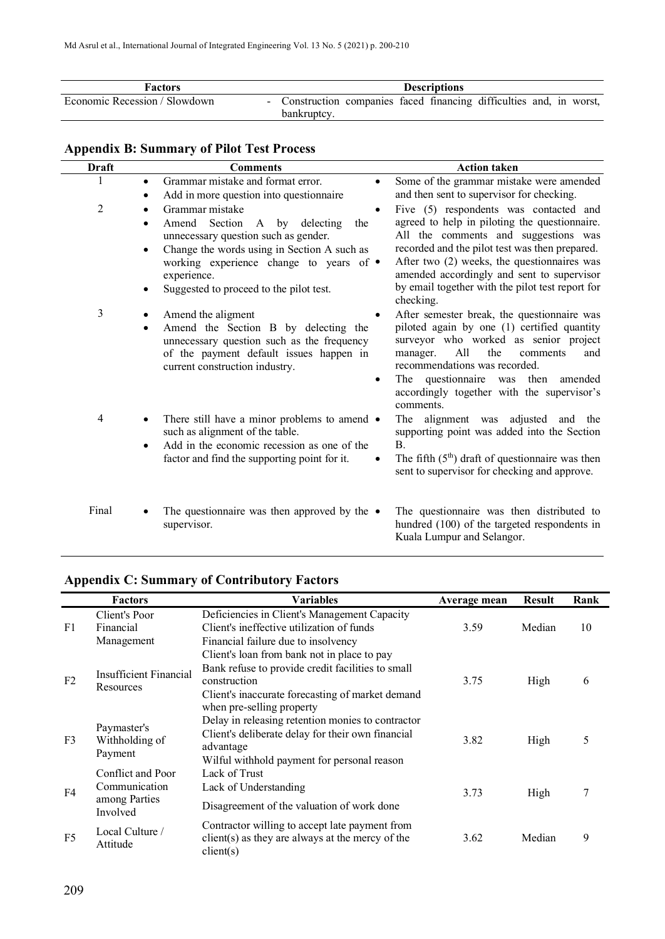| <b>Factors</b>                | <b>Descriptions</b>                                                               |  |
|-------------------------------|-----------------------------------------------------------------------------------|--|
| Economic Recession / Slowdown | Construction companies faced financing difficulties and, in worst,<br>bankruptcy. |  |

# **Appendix B: Summary of Pilot Test Process**

| <b>Draft</b>   | <b>Comments</b>                                                                                                                                                                                                                                       | <b>Action taken</b>                                                                                                                                                                                                                                                                                                                             |
|----------------|-------------------------------------------------------------------------------------------------------------------------------------------------------------------------------------------------------------------------------------------------------|-------------------------------------------------------------------------------------------------------------------------------------------------------------------------------------------------------------------------------------------------------------------------------------------------------------------------------------------------|
| 1              | Grammar mistake and format error.<br>$\bullet$<br>Add in more question into questionnaire                                                                                                                                                             | Some of the grammar mistake were amended<br>٠<br>and then sent to supervisor for checking.                                                                                                                                                                                                                                                      |
| $\overline{2}$ | Grammar mistake<br>Amend Section<br>A by delecting<br>the<br>unnecessary question such as gender.<br>Change the words using in Section A such as<br>working experience change to years of •<br>experience.<br>Suggested to proceed to the pilot test. | Five (5) respondents was contacted and<br>agreed to help in piloting the questionnaire.<br>All the comments and suggestions was<br>recorded and the pilot test was then prepared.<br>After two (2) weeks, the questionnaires was<br>amended accordingly and sent to supervisor<br>by email together with the pilot test report for<br>checking. |
| 3              | Amend the aligment<br>Amend the Section B by delecting the<br>unnecessary question such as the frequency<br>of the payment default issues happen in<br>current construction industry.                                                                 | After semester break, the questionnaire was<br>piloted again by one (1) certified quantity<br>surveyor who worked as senior project<br>All<br>the<br>manager.<br>and<br>comments<br>recommendations was recorded.<br>The questionnaire was then<br>amended<br>accordingly together with the supervisor's<br>comments.                           |
| $\overline{4}$ | There still have a minor problems to amend •<br>such as alignment of the table.<br>Add in the economic recession as one of the<br>factor and find the supporting point for it.                                                                        | The alignment was adjusted and the<br>supporting point was added into the Section<br><b>B.</b><br>The fifth $(5th)$ draft of questionnaire was then<br>sent to supervisor for checking and approve.                                                                                                                                             |
| Final          | The questionnaire was then approved by the $\bullet$<br>supervisor.                                                                                                                                                                                   | The questionnaire was then distributed to<br>hundred (100) of the targeted respondents in<br>Kuala Lumpur and Selangor.                                                                                                                                                                                                                         |

# **Appendix C: Summary of Contributory Factors**

|                | <b>Factors</b>                           | <b>Variables</b>                                                | Average mean | <b>Result</b> | Rank |
|----------------|------------------------------------------|-----------------------------------------------------------------|--------------|---------------|------|
|                | Client's Poor                            | Deficiencies in Client's Management Capacity                    |              |               |      |
| F1             | Financial                                | Client's ineffective utilization of funds                       | 3.59         | Median        | 10   |
|                | Management                               | Financial failure due to insolvency                             |              |               |      |
|                |                                          | Client's loan from bank not in place to pay                     |              |               |      |
|                | Insufficient Financial                   | Bank refuse to provide credit facilities to small               |              |               |      |
| F2             | Resources                                | construction                                                    | 3.75         | High          | 6    |
|                |                                          | Client's inaccurate forecasting of market demand                |              |               |      |
|                |                                          | when pre-selling property                                       |              |               |      |
|                | Paymaster's<br>Withholding of<br>Payment | Delay in releasing retention monies to contractor               |              |               |      |
| F <sub>3</sub> |                                          | Client's deliberate delay for their own financial               | 3.82         | High          | 5    |
|                |                                          | advantage                                                       |              |               |      |
|                |                                          | Wilful withhold payment for personal reason                     |              |               |      |
|                | Conflict and Poor                        | Lack of Trust                                                   |              |               |      |
| F <sub>4</sub> | Communication<br>among Parties           | Lack of Understanding                                           | 3.73         | High          | 7    |
|                |                                          | Disagreement of the valuation of work done                      |              |               |      |
|                | Involved                                 |                                                                 |              |               |      |
| F <sub>5</sub> | Local Culture /                          | Contractor willing to accept late payment from                  |              |               |      |
|                | Attitude                                 | $client(s)$ as they are always at the mercy of the<br>client(s) | 3.62         | Median        | 9    |